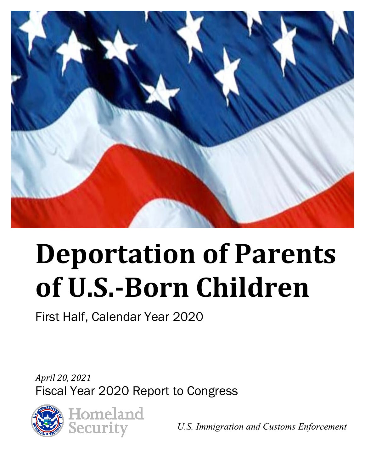

# **Deportation of Parents of U.S.-Born Children**

First Half, Calendar Year 2020

*April 20, 2021*  Fiscal Year 2020 Report to Congress



*U.S. Immigration and Customs Enforcement*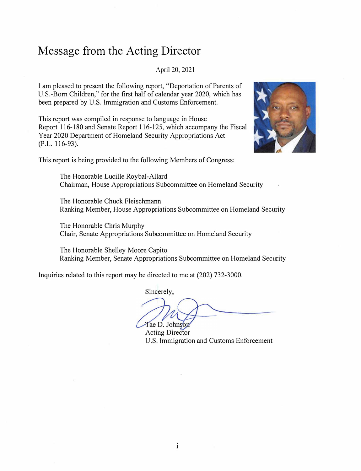#### **Message from the Acting Director**

April 20, 2021

I am pleased to present the following report, "Deportation of Parents of U.S.-Bom Children," for the first half of calendar year 2020, which has been prepared by U.S. Immigration and Customs Enforcement.

This report was compiled in response to language in House Report 116-180 and Senate Report 116-125, which accompany the Fiscal Year 2020 Department of Homeland Security Appropriations Act (P.L. 116-93).



This report is being provided to the following Members of Congress:

The Honorable Lucille Roybal-Allard Chairman, House Appropriations Subcommittee on Homeland Security

The Honorable Chuck Fleischmann Ranking Member, House Appropriations Subcommittee on Homeland Security

The Honorable Chris Murphy Chair, Senate Appropriations Subcommittee on Homeland Security

The Honorable Shelley Moore Capito Ranking Member, Senate Appropriations Subcommittee on Homeland Security

Inquiries related to this report may be directed to me at (202) 732-3000.

Sincerely,

Tae D. Johnson

Acting Director U.S. Immigration and Customs Enforcement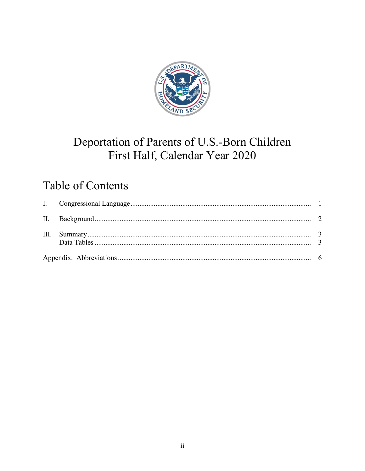

### Deportation of Parents of U.S.-Born Children First Half, Calendar Year 2020

### **Table of Contents**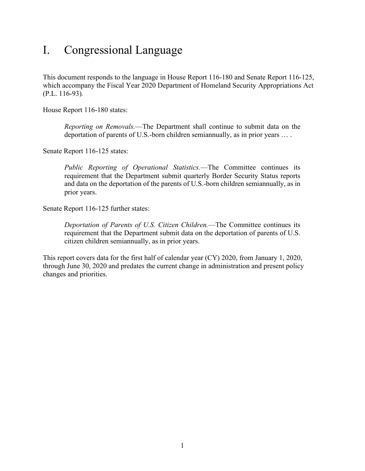#### <span id="page-3-0"></span>I. Congressional Language

This document responds to the language in House Report 116-180 and Senate Report 116-125, which accompany the Fiscal Year 2020 Department of Homeland Security Appropriations Act (P.L. 116-93)*.* 

House Report 116-180 states:

*Reporting on Removals.*—The Department shall continue to submit data on the deportation of parents of U.S.-born children semiannually, as in prior years … .

Senate Report 116-125 states:

*Public Reporting of Operational Statistics.*—The Committee continues its requirement that the Department submit quarterly Border Security Status reports and data on the deportation of the parents of U.S.-born children semiannually, as in prior years.

Senate Report 116-125 further states:

*Deportation of Parents of U.S. Citizen Children.*—The Committee continues its requirement that the Department submit data on the deportation of parents of U.S. citizen children semiannually, as in prior years.

This report covers data for the first half of calendar year (CY) 2020, from January 1, 2020, through June 30, 2020 and predates the current change in administration and present policy changes and priorities.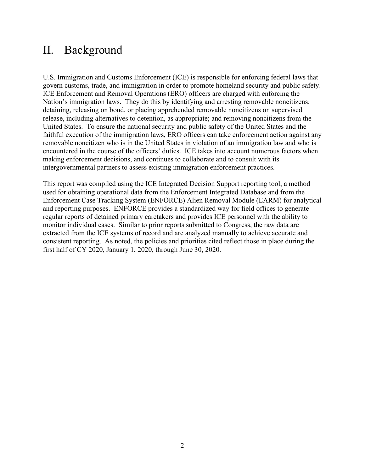#### <span id="page-4-0"></span>II. Background

 Nation's immigration laws. They do this by identifying and arresting removable noncitizens; making enforcement decisions, and continues to collaborate and to consult with its U.S. Immigration and Customs Enforcement (ICE) is responsible for enforcing federal laws that govern customs, trade, and immigration in order to promote homeland security and public safety. ICE Enforcement and Removal Operations (ERO) officers are charged with enforcing the detaining, releasing on bond, or placing apprehended removable noncitizens on supervised release, including alternatives to detention, as appropriate; and removing noncitizens from the United States. To ensure the national security and public safety of the United States and the faithful execution of the immigration laws, ERO officers can take enforcement action against any removable noncitizen who is in the United States in violation of an immigration law and who is encountered in the course of the officers' duties. ICE takes into account numerous factors when intergovernmental partners to assess existing immigration enforcement practices.

 Enforcement Case Tracking System (ENFORCE) Alien Removal Module (EARM) for analytical This report was compiled using the ICE Integrated Decision Support reporting tool, a method used for obtaining operational data from the Enforcement Integrated Database and from the and reporting purposes. ENFORCE provides a standardized way for field offices to generate regular reports of detained primary caretakers and provides ICE personnel with the ability to monitor individual cases. Similar to prior reports submitted to Congress, the raw data are extracted from the ICE systems of record and are analyzed manually to achieve accurate and consistent reporting. As noted, the policies and priorities cited reflect those in place during the first half of CY 2020, January 1, 2020, through June 30, 2020.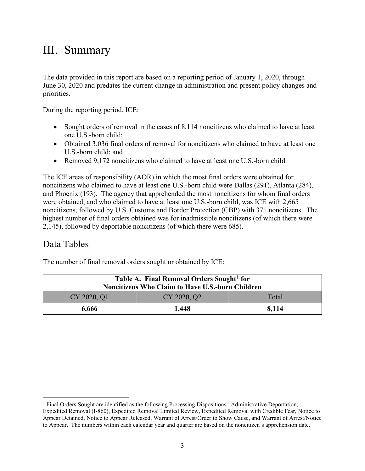#### <span id="page-5-0"></span>III. Summary

The data provided in this report are based on a reporting period of January 1, 2020, through June 30, 2020 and predates the current change in administration and present policy changes and priorities.

During the reporting period, ICE:

- one U.S.-born child; • Sought orders of removal in the cases of 8,114 noncitizens who claimed to have at least
- U.S.-born child; and • Obtained 3,036 final orders of removal for noncitizens who claimed to have at least one
- Removed 9,172 noncitizens who claimed to have at least one U.S.-born child.

 The ICE areas of responsibility (AOR) in which the most final orders were obtained for and Phoenix (193). The agency that apprehended the most noncitizens for whom final orders noncitizens who claimed to have at least one U.S.-born child were Dallas (291), Atlanta (284), were obtained, and who claimed to have at least one U.S.-born child, was ICE with 2,665 noncitizens, followed by U.S. Customs and Border Protection (CBP) with 371 noncitizens. The highest number of final orders obtained was for inadmissible noncitizens (of which there were 2,145), followed by deportable noncitizens (of which there were 685).

#### <span id="page-5-1"></span>Data Tables

The number of final removal orders sought or obtained by ICE:

| Table A. Final Removal Orders Sought <sup>1</sup> for<br><b>Noncitizens Who Claim to Have U.S.-born Children</b> |             |       |
|------------------------------------------------------------------------------------------------------------------|-------------|-------|
| CY 2020, Q1                                                                                                      | CY 2020, Q2 | Total |
| 6,666                                                                                                            | 1,448       | 8.114 |

<span id="page-5-2"></span> to Appear. The numbers within each calendar year and quarter are based on the noncitizen's apprehension date. <sup>1</sup> Final Orders Sought are identified as the following Processing Dispositions: Administrative Deportation, Expedited Removal (I-860), Expedited Removal Limited Review, Expedited Removal with Credible Fear, Notice to Appear Detained, Notice to Appear Released, Warrant of Arrest/Order to Show Cause, and Warrant of Arrest/Notice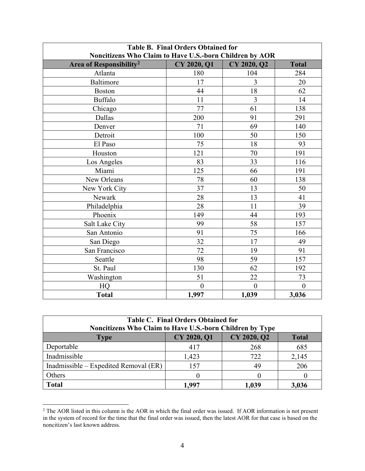| <b>Table B. Final Orders Obtained for</b><br>Noncitizens Who Claim to Have U.S.-born Children by AOR |                    |                |              |
|------------------------------------------------------------------------------------------------------|--------------------|----------------|--------------|
| Area of Responsibility <sup>2</sup>                                                                  | <b>CY 2020, Q1</b> | CY 2020, Q2    | <b>Total</b> |
| Atlanta                                                                                              | 180                | 104            | 284          |
| Baltimore                                                                                            | 17                 | 3              | 20           |
| <b>Boston</b>                                                                                        | 44                 | 18             | 62           |
| <b>Buffalo</b>                                                                                       | 11                 | $\overline{3}$ | 14           |
| Chicago                                                                                              | 77                 | 61             | 138          |
| Dallas                                                                                               | 200                | 91             | 291          |
| Denver                                                                                               | 71                 | 69             | 140          |
| Detroit                                                                                              | 100                | 50             | 150          |
| El Paso                                                                                              | 75                 | 18             | 93           |
| Houston                                                                                              | 121                | 70             | 191          |
| Los Angeles                                                                                          | 83                 | 33             | 116          |
| Miami                                                                                                | 125                | 66             | 191          |
| New Orleans                                                                                          | 78                 | 60             | 138          |
| New York City                                                                                        | 37                 | 13             | 50           |
| Newark                                                                                               | 28                 | 13             | 41           |
| Philadelphia                                                                                         | 28                 | 11             | 39           |
| Phoenix                                                                                              | 149                | 44             | 193          |
| Salt Lake City                                                                                       | 99                 | 58             | 157          |
| San Antonio                                                                                          | 91                 | 75             | 166          |
| San Diego                                                                                            | 32                 | 17             | 49           |
| San Francisco                                                                                        | 72                 | 19             | 91           |
| Seattle                                                                                              | 98                 | 59             | 157          |
| St. Paul                                                                                             | 130                | 62             | 192          |
| Washington                                                                                           | 51                 | 22             | 73           |
| HQ                                                                                                   | $\boldsymbol{0}$   | $\overline{0}$ | $\theta$     |
| <b>Total</b>                                                                                         | 1,997              | 1,039          | 3,036        |

| <b>Table C. Final Orders Obtained for</b><br>Noncitizens Who Claim to Have U.S.-born Children by Type |             |             |              |
|-------------------------------------------------------------------------------------------------------|-------------|-------------|--------------|
| <b>Type</b>                                                                                           | CY 2020, Q1 | CY 2020, Q2 | <b>Total</b> |
| Deportable                                                                                            | 417         | 268         | 685          |
| Inadmissible                                                                                          | 1,423       | 722         | 2,145        |
| Inadmissible – Expedited Removal (ER)                                                                 | 157         | 49          | 206          |
| Others                                                                                                |             |             |              |
| <b>Total</b>                                                                                          | 1.997       | 1,039       | 3,036        |

<span id="page-6-0"></span> in the system of record for the time that the final order was issued, then the latest AOR for that case is based on the noncitizen's last known address.<br>4 <sup>2</sup> The AOR listed in this column is the AOR in which the final order was issued. If AOR information is not present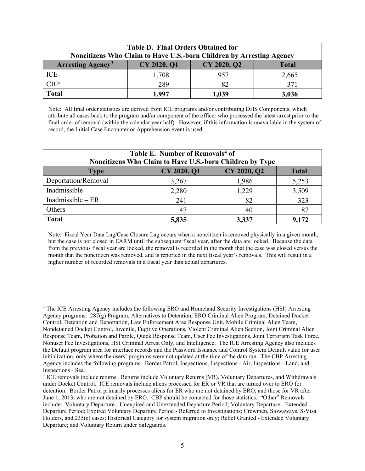| <b>Table D. Final Orders Obtained for</b><br>Noncitizens Who Claim to Have U.S.-born Children by Arresting Agency |             |             |              |
|-------------------------------------------------------------------------------------------------------------------|-------------|-------------|--------------|
| <b>Arresting Agency<sup>3</sup></b>                                                                               | CY 2020, Q1 | CY 2020, Q2 | <b>Total</b> |
| ICE                                                                                                               | 1,708       | 957         | 2,665        |
| <b>CBP</b>                                                                                                        | 289         | 82          | 371          |
| <b>Total</b>                                                                                                      | 1.997       | 1,039       | 3,036        |

 final order of removal (within the calendar year half). However, if this information is unavailable in the system of record, the Initial Case Encounter or Apprehension event is used. Note: All final order statistics are derived from ICE programs and/or contributing DHS Components, which attribute all cases back to the program and/or component of the officer who processed the latest arrest prior to the

| Table E. Number of Removals <sup>4</sup> of<br>Noncitizens Who Claim to Have U.S.-born Children by Type |             |             |              |
|---------------------------------------------------------------------------------------------------------|-------------|-------------|--------------|
| <b>Type</b>                                                                                             | CY 2020, Q1 | CY 2020, Q2 | <b>Total</b> |
| Deportation/Removal                                                                                     | 3,267       | 1,986       | 5,253        |
| Inadmissible                                                                                            | 2,280       | 1,229       | 3,509        |
| Inadmissible $-ER$                                                                                      | 241         | 82          | 323          |
| Others                                                                                                  | 47          | 40          | 87           |
| <b>Total</b>                                                                                            | 5,835       | 3,337       | 9,172        |

 Note: Fiscal Year Data Lag/Case Closure Lag occurs when a noncitizen is removed physically in a given month, month that the noncitizen was removed, and is reported in the next fiscal year's removals. This will result in a but the case is not closed in EARM until the subsequent fiscal year, after the data are locked. Because the data from the previous fiscal year are locked, the removal is recorded in the month that the case was closed versus the higher number of recorded removals in a fiscal year than actual departures.

<span id="page-7-0"></span> Nonuser Fee Investigations, HSI Criminal Arrest Only, and Intelligence. The ICE Arresting Agency also includes initialization, only where the users' programs were not updated at the time of the data run. The CBP Arresting <sup>3</sup> The ICE Arresting Agency includes the following ERO and Homeland Security Investigations (HSI) Arresting Agency programs: 287(g) Program, Alternatives to Detention, ERO Criminal Alien Program, Detained Docket Control, Detention and Deportation, Law Enforcement Area Response Unit, Mobile Criminal Alien Team, Nondetained Docket Control, Juvenile, Fugitive Operations, Violent Criminal Alien Section, Joint Criminal Alien Response Team, Probation and Parole, Quick Response Team, User Fee Investigations, Joint Terrorism Task Force, the Default program area for interface records and the Password Issuance and Control System Default value for user Agency includes the following programs: Border Patrol, Inspections, Inspections - Air, Inspections - Land, and

<span id="page-7-1"></span> June 1, 2013, who are not detained by ERO. CBP should be contacted for those statistics. "Other" Removals include: Voluntary Departure - Unexpired and Unextended Departure Period; Voluntary Departure - Extended <sup>4</sup> ICE removals include returns. Returns include Voluntary Returns (VR), Voluntary Departures, and Withdrawals under Docket Control. ICE removals include aliens processed for ER or VR that are turned over to ERO for detention. Border Patrol primarily processes aliens for ER who are not detained by ERO, and those for VR after Departure Period; Expired Voluntary Departure Period - Referred to Investigations; Crewmen, Stowaways, S-Visa Holders, and 235(c) cases; Historical Category for system migration only; Relief Granted - Extended Voluntary Departure; and Voluntary Return under Safeguards.